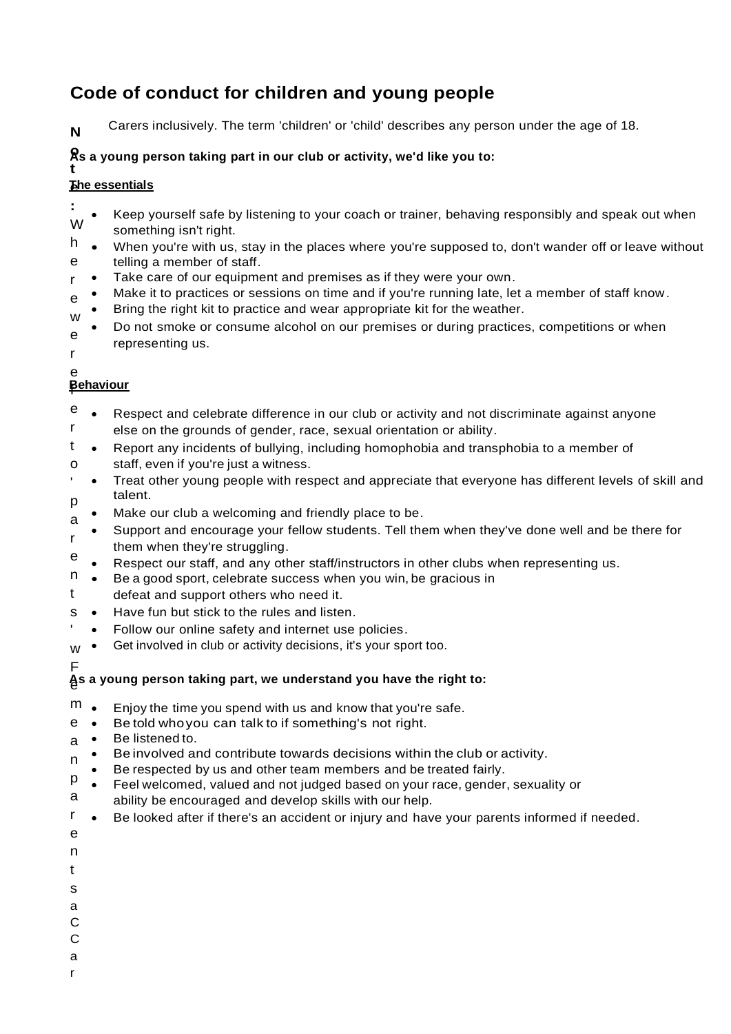# **Code of conduct for children and young people**

**N** Carers inclusively. The term 'children' or 'child' describes any person under the age of 18.

### **o As a young person taking part in our club or activity, we'd like you to:**

#### **t e The essentials**

- **:**  W Keep yourself safe by listening to your coach or trainer, behaving responsibly and speak out when something isn't right.
- h e • When you're with us, stay in the places where you're supposed to, don't wander off or leave without telling a member of staff.
- r • Take care of our equipment and premises as if they were your own.
- e Make it to practices or sessions on time and if you're running late, let a member of staff know.
- w Bring the right kit to practice and wear appropriate kit for the weather.
- e • Do not smoke or consume alcohol on our premises or during practices, competitions or when representing us.
- r e

# f **Behaviour**

- e r • Respect and celebrate difference in our club or activity and not discriminate against anyone else on the grounds of gender, race, sexual orientation or ability.
- t o • Report any incidents of bullying, including homophobia and transphobia to a member of staff, even if you're just a witness.
- 'p • Treat other young people with respect and appreciate that everyone has different levels of skill and talent.
- a Make our club a welcoming and friendly place to be.
- r • Support and encourage your fellow students. Tell them when they've done well and be there for them when they're struggling.
- e • Respect our staff, and any other staff/instructors in other clubs when representing us.
- n • Be a good sport, celebrate success when you win, be gracious in
- t defeat and support others who need it.
- s • Have fun but stick to the rules and listen.
- ' • Follow our online safety and internet use policies.
- w • Get involved in club or activity decisions, it's your sport too.
- F

# e **As a young person taking part, we understand you have the right to:**

- m • Enjoy the time you spend with us and know that you're safe.
- e • Betold whoyou can talk to if something's not right.
- a • Be listenedto.
- n • Beinvolved and contribute towards decisions within the club or activity.
- Be respected by us and other team members and be treated fairly.
- p a • Feel welcomed, valued and not judged based on your race, gender, sexuality or ability be encouraged and develop skills with our help.
- r • Be looked after if there's an accident or injury and have your parents informed if needed.
- e
- n
- t
- s
- a
- C
- C
- a
- r